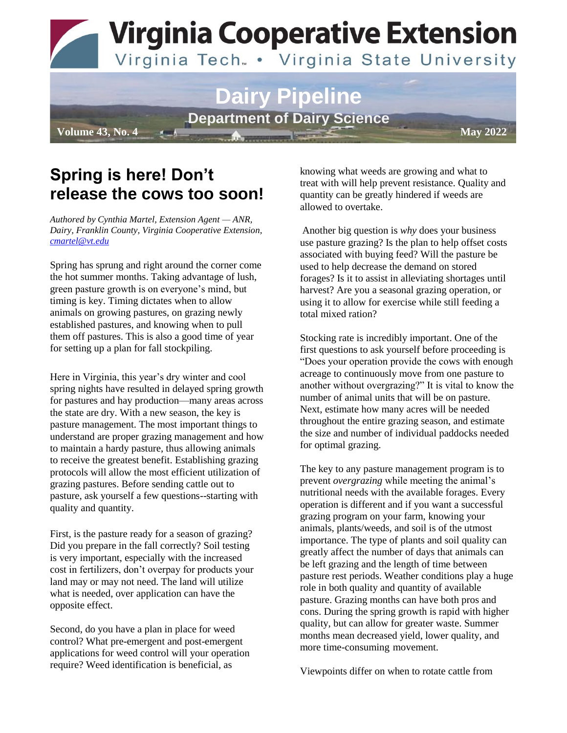**Virginia Cooperative Extension** 

#### Virginia Tech. . Virginia State University

# **Dairy Pipeline Department of Dairy Science**

**Volume 43, No. 4 May 2022** 

## **Spring is here! Don't release the cows too soon!**

*Authored by Cynthia Martel, Extension Agent — ANR, Dairy, Franklin County, Virginia Cooperative Extension, [cmartel@vt.edu](mailto:cmartel@vt.edu)*

Spring has sprung and right around the corner come the hot summer months. Taking advantage of lush, green pasture growth is on everyone's mind, but timing is key. Timing dictates when to allow animals on growing pastures, on grazing newly established pastures, and knowing when to pull them off pastures. This is also a good time of year for setting up a plan for fall stockpiling.

Here in Virginia, this year's dry winter and cool spring nights have resulted in delayed spring growth for pastures and hay production—many areas across the state are dry. With a new season, the key is pasture management. The most important things to understand are proper grazing management and how to maintain a hardy pasture, thus allowing animals to receive the greatest benefit. Establishing grazing protocols will allow the most efficient utilization of grazing pastures. Before sending cattle out to pasture, ask yourself a few questions--starting with quality and quantity.

First, is the pasture ready for a season of grazing? Did you prepare in the fall correctly? Soil testing is very important, especially with the increased cost in fertilizers, don't overpay for products your land may or may not need. The land will utilize what is needed, over application can have the opposite effect.

Second, do you have a plan in place for weed control? What pre-emergent and post-emergent applications for weed control will your operation require? Weed identification is beneficial, as

knowing what weeds are growing and what to treat with will help prevent resistance. Quality and quantity can be greatly hindered if weeds are allowed to overtake.

Another big question is *why* does your business use pasture grazing? Is the plan to help offset costs associated with buying feed? Will the pasture be used to help decrease the demand on stored forages? Is it to assist in alleviating shortages until harvest? Are you a seasonal grazing operation, or using it to allow for exercise while still feeding a total mixed ration?

Stocking rate is incredibly important. One of the first questions to ask yourself before proceeding is "Does your operation provide the cows with enough acreage to continuously move from one pasture to another without overgrazing?" It is vital to know the number of animal units that will be on pasture. Next, estimate how many acres will be needed throughout the entire grazing season, and estimate the size and number of individual paddocks needed for optimal grazing.

The key to any pasture management program is to prevent *overgrazing* while meeting the animal's nutritional needs with the available forages. Every operation is different and if you want a successful grazing program on your farm, knowing your animals, plants/weeds, and soil is of the utmost importance. The type of plants and soil quality can greatly affect the number of days that animals can be left grazing and the length of time between pasture rest periods. Weather conditions play a huge role in both quality and quantity of available pasture. Grazing months can have both pros and cons. During the spring growth is rapid with higher quality, but can allow for greater waste. Summer months mean decreased yield, lower quality, and more time-consuming movement.

Viewpoints differ on when to rotate cattle from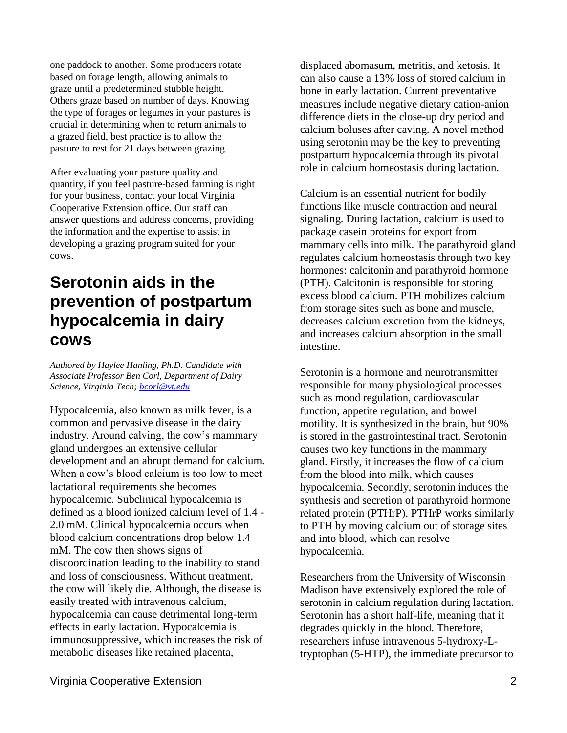one paddock to another. Some producers rotate based on forage length, allowing animals to graze until a predetermined stubble height. Others graze based on number of days. Knowing the type of forages or legumes in your pastures is crucial in determining when to return animals to a grazed field, best practice is to allow the pasture to rest for 21 days between grazing.

After evaluating your pasture quality and quantity, if you feel pasture-based farming is right for your business, contact your local Virginia Cooperative Extension office. Our staff can answer questions and address concerns, providing the information and the expertise to assist in developing a grazing program suited for your cows.

### **Serotonin aids in the prevention of postpartum hypocalcemia in dairy cows**

*Authored by Haylee Hanling, Ph.D. Candidate with Associate Professor Ben Corl, Department of Dairy Science, Virginia Tech[; bcorl@vt.edu](mailto:bcorl@vt.edu)*

Hypocalcemia, also known as milk fever, is a common and pervasive disease in the dairy industry. Around calving, the cow's mammary gland undergoes an extensive cellular development and an abrupt demand for calcium. When a cow's blood calcium is too low to meet lactational requirements she becomes hypocalcemic. Subclinical hypocalcemia is defined as a blood ionized calcium level of 1.4 - 2.0 mM. Clinical hypocalcemia occurs when blood calcium concentrations drop below 1.4 mM. The cow then shows signs of discoordination leading to the inability to stand and loss of consciousness. Without treatment, the cow will likely die. Although, the disease is easily treated with intravenous calcium, hypocalcemia can cause detrimental long-term effects in early lactation. Hypocalcemia is immunosuppressive, which increases the risk of metabolic diseases like retained placenta,

displaced abomasum, metritis, and ketosis. It can also cause a 13% loss of stored calcium in bone in early lactation. Current preventative measures include negative dietary cation-anion difference diets in the close-up dry period and calcium boluses after caving. A novel method using serotonin may be the key to preventing postpartum hypocalcemia through its pivotal role in calcium homeostasis during lactation.

Calcium is an essential nutrient for bodily functions like muscle contraction and neural signaling. During lactation, calcium is used to package casein proteins for export from mammary cells into milk. The parathyroid gland regulates calcium homeostasis through two key hormones: calcitonin and parathyroid hormone (PTH). Calcitonin is responsible for storing excess blood calcium. PTH mobilizes calcium from storage sites such as bone and muscle, decreases calcium excretion from the kidneys, and increases calcium absorption in the small intestine.

Serotonin is a hormone and neurotransmitter responsible for many physiological processes such as mood regulation, cardiovascular function, appetite regulation, and bowel motility. It is synthesized in the brain, but 90% is stored in the gastrointestinal tract. Serotonin causes two key functions in the mammary gland. Firstly, it increases the flow of calcium from the blood into milk, which causes hypocalcemia. Secondly, serotonin induces the synthesis and secretion of parathyroid hormone related protein (PTHrP). PTHrP works similarly to PTH by moving calcium out of storage sites and into blood, which can resolve hypocalcemia.

Researchers from the University of Wisconsin – Madison have extensively explored the role of serotonin in calcium regulation during lactation. Serotonin has a short half-life, meaning that it degrades quickly in the blood. Therefore, researchers infuse intravenous 5-hydroxy-Ltryptophan (5-HTP), the immediate precursor to